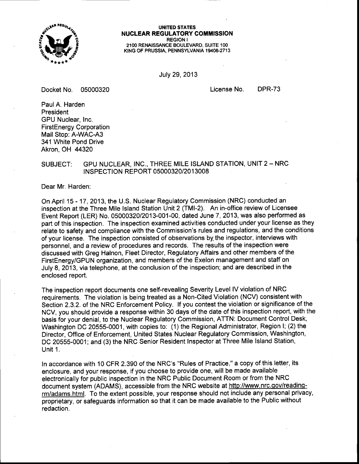

UNITED STATES **NUCLEAR REGULATORY COMMISSION** REGION I 21OO RENAISSANCE BOULEVARD, SUITE 1OO KING OF PRUSSIA, PENNSYLVANIA 19406-2713

July 29,2013

Docket No. <sup>05000320</sup>

License No. DPR-73

PaulA. Harden President GPU Nuclear, Inc. FirstEnergy Corporation Mail Stop: A-WAC-A3 341 White Pond Drive Akron. OH 44320

# SUBJECT: GPU NUCLEAR, INC., THREE MILE ISLAND STATION, UNIT 2 - NRC <sup>I</sup>NSPECTION REPORT 05000320/201 3008

Dear Mr. Harden:

On April 15 - 17,2013, the U.S. Nuclear Regulatory Commission (NRC) conducted an inspection at the Three Mile lsland Station Unit 2 (TMl-2). An in-office review of Licensee Event Report (LER) No. 0500032012013-001-00, dated June 7, 2013, was also performed as part of this inspection. The inspection examined activities conducted under your license as they relate to safety and compliance with the Commission's rules and regulations, and the conditions of your license. The inspection consisted of observations by. the inspector, interviews with personnel, and a review of procedures and records. The results of the inspection were discussed with Greg Halnon, Fleet Director, Regulatory Affairs and other members of the FirstEnergy/GPuN organization, and members of the Exelon management and staff on July 8, 2013, via telephone, at the conclusion of the inspection; and are described in the enclosed report.

The inspection report documents one self-revealing Severity Level lV violation of NRC requirements. The violation is being treated as a Non-Cited Violation (NCV) consistent with Section 2.3.2. of the NRC Enforcement Policy. lf you contest the violation or significance of the NCV, you should provide a response within 30 days of the date of this inspection report, with the basis for your denial, to the Nuclear Regulatory Commission, ATTN: Document Gontrol Desk, Washington DC 20555-0001, with copies to: (1) the Regional Administrator, Region I; (2) the Director, Office of Enforcement, United States Nuclear Regulatory Commission, Washington, DC 20555-0001; and (3) the NRC Senior Resident Inspector at Three Mile lsland Station, Unit 1.

In accordance with 10 CFR 2.390 of the NRC's "Rules of Practice," a copy of this letter, its enclosure, and your response, if you choose to provide one, will be made available electronically for public inspection in the NRC Public Document Room or from the NRC document system (ADAMS), accessible from the NRC website at http://www.nrc.gov/readingrm/adams.html. To the extent possible, your response should not include any personal privacy, proprietary, or safeguards information so that it can be made available to the Public without redaction.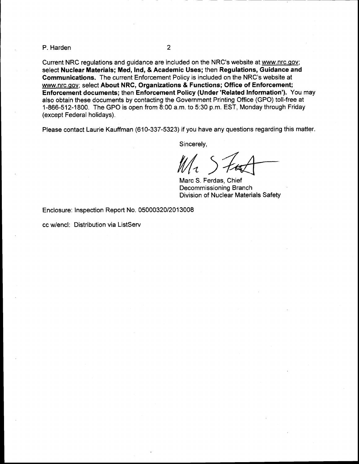P. Harden

 $\overline{2}$ 

Current NRC regulations and guidance are included on the NRC's website at www.nrc.gov; select Nuclear Materials; Med, Ind, & Academic Uses; then Regulations, Guidance and Gommunications. The current Enforcement Policy is included on the NRC's website at www.nrc.qov; select About NRC, Organizations & Functions; Office of Enforcement; Enforcement documents; then Enforcement Policy (Under'Related Information'). You may also obtain these documents by contacting the Government Printing Office (GPO) toll-free at 1-866-512-1800. The GPO is open from 8:00 a.m. to 5:30 p.m. EST, Monday through Friday (except Federal holidays).

Please contact Laurie Kauffman (610-337-5323) if you have any questions regarding this matter.

Sincerely,

 $\mathcal{U}/\mathcal{U}$ 

Marc S. Ferdas, Chief Decommissioning Branch Division of Nuclear Materials Safety

Enclosure: Inspection Report No. 050003201201 3008

cc w/encl: Distribution via ListServ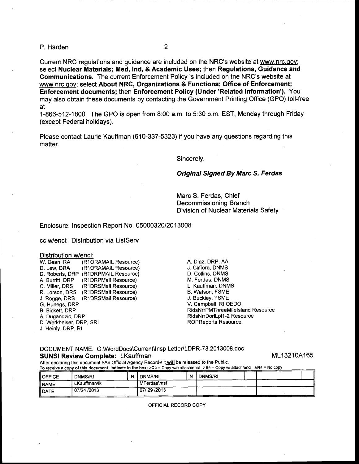P. Harden 2

Current NRC regulations and guidance are included on the NRC's website at www.nrc.qov; select Nuclear Materials; Med, Ind, & Academic Uses; then Regulations, Guidance and Gommunications. The current Enforcement Policy is included on the NRC's website at www.nrc.gov; select About NRC, Organizations & Functions; Office of Enforcement; Enforcement documents; then Enforcement Policy (Under'Related Information'). You may also obtain these documents by contacting the Government Printing Office (GPO) toll-free at

1-866-512-1800. The GPO is open from 8.00 a.m. to 5:30 p.m. EST, Monday through Friday (except Federal holidays).

Please contact Laurie Kauffman (610-337-5323) if you have any questions regarding this matter.

Sincerely,

### Original Signed By Marc S. Ferdas

Marc S. Ferdas, Chief Decommissioning Branch Division of Nuclear Materials Safety

Enclosure: Inspection Report No. 05000320/201 3008

cc w/encl: Distribution via ListServ

### Distribution w/encl:

| W. Dean, RA             | (R1ORAMAIL Resource) |
|-------------------------|----------------------|
| D. Lew, DRA             | (R1ORAMAIL Resource) |
| D. Roberts, DRP         | (R1DRPMAIL Resource) |
| A. Burritt, DRP         | (R1DRPMail Resource) |
| C. Miller, DRS          | (R1DRSMail Resource) |
| R. Lorson, DRS          | (R1DRSMail Resource) |
| J. Rogge, DRS           | (R1DRSMail Resource) |
| G. Hunegs, DRP          |                      |
| <b>B. Bickett, DRP</b>  |                      |
| A. Dugandzic, DRP       |                      |
| D. Werkheiser, DRP, SRI |                      |
|                         |                      |

J. Heinly, DRP, Rl

### A. Diaz, DRP, AA J. Clifford, DNMS D. Collins. DNMS M. Ferdas, DNMS L. Kauffman, DNMS B. Watson, FSME J. Buckley, FSME V. Campbell, RIOEDO RidsNrrPMThreeMilelsland Resource RidsNrrDorlLpl1-2 Resource ROPReports Resource

DOCUMENT NAME: G:\WordDocs\Current\Insp Letter\LDPR-73.2013008.doc SUNSI Review Complete: LKauffman

ML13210A165

After declaring this document AAn Official Agency Record@ it will be released to the Public.

To receive a copy of this document, indicate in the box: ACe = Copy w/o attach/encl AEe = Copy w/ attach/encl ANe = No copy

| <b>OFFICE</b>  | DNMS/RI      | N | <b>DNMS/RI</b> | N | <b>DNMS/RI</b> |  |  |
|----------------|--------------|---|----------------|---|----------------|--|--|
| II NAME        | LKauffman\lk |   | MFerdas\msf    |   |                |  |  |
| <b>II</b> DATE | 07/24 /2013  |   | 07/29/2013     |   |                |  |  |

OFFICIAL RECORD COPY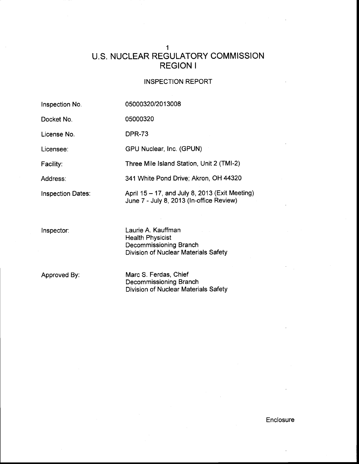# I U.S. NUCLEAR REGULATORY COMMISSION REGION <sup>I</sup>

# INSPECTION REPORT

| Inspection No.           | 05000320/2013008                                                                                                |
|--------------------------|-----------------------------------------------------------------------------------------------------------------|
| Docket No.               | 05000320                                                                                                        |
| License No.              | <b>DPR-73</b>                                                                                                   |
| Licensee:                | GPU Nuclear, Inc. (GPUN)                                                                                        |
| Facility:                | Three Mile Island Station, Unit 2 (TMI-2)                                                                       |
| Address:                 | 341 White Pond Drive; Akron, OH 44320                                                                           |
| <b>Inspection Dates:</b> | April 15 – 17, and July 8, 2013 (Exit Meeting)<br>June 7 - July 8, 2013 (In-office Review)                      |
| Inspector:               | Laurie A. Kauffman<br><b>Health Physicist</b><br>Decommissioning Branch<br>Division of Nuclear Materials Safety |
| Approved By:             | Marc S. Ferdas, Chief<br>Decommissioning Branch<br><b>Division of Nuclear Materials Safety</b>                  |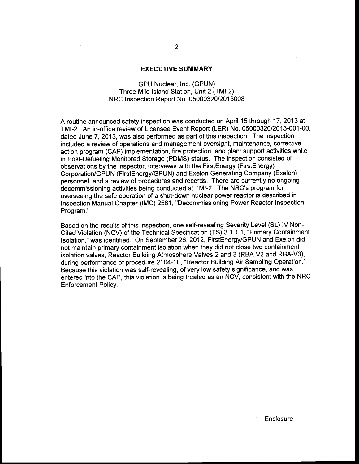### EXECUTIVE SUMMARY

# GPU Nuclear, Inc. (GPUN) Three Mile lsland Station, Unit 2 (TMl-2) NRC Inspection Report No. 0500032012013008

A routine announced safety inspection was conducted on April 15 through 17,2013 at TMf-2. An in-office review of Licensee Event Report (LER) No. 0500032012013-001-00, dated June 7, 2013, was also performed as part of this inspection. The inspection included a review of operations and management oversight, maintenance, corrective action program (CAP) implementation, fire protection, and plant support activities while in Post-Defueling Monitored Storage (PDMS) status. The inspection consisted of observations by the inspector, interviews with the FirstEnergy (FirstEnergy) Corporation/GPUN (FirstEnergy/GPUN) and Exelon Generating Company (Exelon) personnel, and a review of procedures and records. There are currently no ongoing decommissioning activities being conducted at TMI-2. The NRC's program for overseeing the safe operation of a shut-down nuclear power reactor is described in lnspection Manual Chapter (lMC) 2561, "Decommissioning Power Reactor Inspection Program."

Based on the results of this inspection, one self-revealing Severity Level (SL) lV Non-Cited Violation (NCV) of the Technical Specification (TS) 3.1.1.1, "Primary Containment lsofation,' was identified. On September 26,2012, FirstEnergy/GPuN and Exelon did not maintain primary containment isolation when they did not close two containment isolation valves, Reactor Building Atmosphere Valves 2 and 3 (RBA-V2 and RBA-V3), during performance of procedure 2104-1F, "Reactor Building Air Sampling Operation." Because this violation was self-revealing, of very low safety significance, and was entered into the CAP, this violation is being treated as an NCV, consistent with the NRC Enforcement Policy.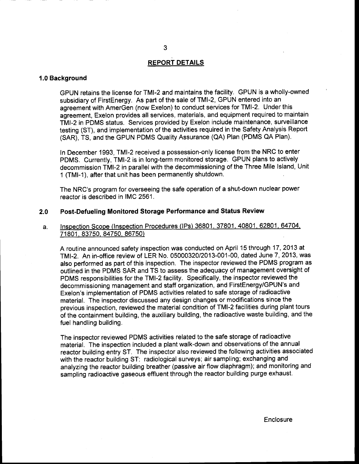### **REPORT DETAILS**

## 1.0 Background

GPUN retains the license for TMI-2 and maintains the facility. GPUN is a wholly-owned subsidiary of FirstEnergy. As part of the sale of TMI-2, GPUN entered into an agreement with AmerGen (now Exelon) to conduct services for TMI-2. Under this agreement, Exelon provides all services, materials, and equipment required to maintain TMI-2 in PDMS status. Services provided by Exelon include maintenance, surveillance testing (ST), and implementation of the activities required in the Safety Analysis Report (SAR), TS, and the GPUN PDMS Quality Assurance (QA) Plan (PDMS QA Plan).

ln December 1993, TMI-2 received a possession-only license from the NRC to enter PDMS. Currently, TMI-2 is in long-term monitored storage. GPUN plans to actively decommission TMI-2 in parallel with the decommissioning of the Three Mile lsland, Unit 1 (TMl-l), after that unit has been permanently shutdown.

The NRC's program for overseeing the safe operation of a shut-down nuclear power reactor is described in IMC 2561.

### 2.0 Post-Defueling Monitored Storage Performance and Status Review

a. Inspection Scope (lnspection Procedures (lPs) 36801. 37801. 40801. 62801. 64704, 71801. 83750, 84750, 86750)

A routine announced safety inspection was conducted on April 15 through 17 , 2013 at TMI-2. An in-office review of LER No. 0500032012013-001-00, dated June 7, 2013, was also performed as part of this inspection. The inspector reviewed the PDMS program as outlined in the PDMS SAR and TS to assess the adequacy of management oversight of PDMS responsibilities for the TMI-2 facility. Specifically, the inspector reviewed the decommissioning management and staff organization, and FirstEnergy/GPUN's and Exelon's implementation of PDMS activities related to safe storage of radioactive material. The inspector discussed any design changes or modifications since the previous inspection, reviewed the material condition of TMI-2 facilities during plant tours of the containment building, the auxiliary building, the radioactive waste building, and the fuel handling building.

The inspector reviewed PDMS activities related to the safe storage of radioactive material. The inspection included a plant walk-down and observations of the annual reactor building entry ST. The inspector also reviewed the following activities associated with the reactor building ST: radiological surveys; air sampling; exchanging and analyzing the reactor building breather (passive air flow diaphragm); and monitoring and sampling radioactive gaseous effluent through the reactor building purge exhaust.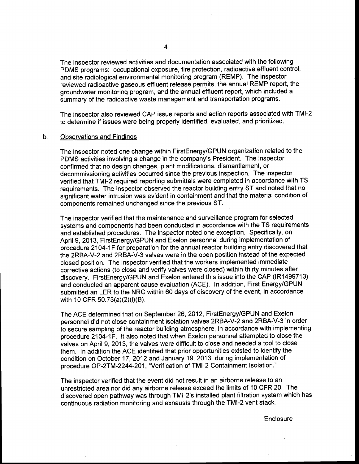The inspector reviewed activities and documentation associated with the following PDMS programs: occupational exposure, fire protection, radioactive effluent control, and site radiological environmental monitoring program (REMP). The inspector reviewed radioactive gaseous effluent release permits, the annual REMP report, the groundwater monitoring program, and the annual effluent report, which included a summary of the radioactive waste management and transportation programs.

The inspector also reviewed CAP issue reports and action reports associated with TMI-2 to determine if issues were being properly identified, evaluated, and prioritized.

#### b. **Observations and Findings**

The inspector noted one change within FirstEnergy/GPUN organization related to the PDMS activities involving a change in the company's President. The inspector confirmed that no design changes, plant modifications, dismantlement, or decommissioning activities occurred since the previous inspection. The inspector verified that TMI-2 required reporting submittals were completed in accordance with TS requirements. The inspector observed the reactor building entry ST and noted that no significant water intrusion was evident in containment and that the material condition of components remained unchanged since the previous ST.

The inspector verified that the maintenance and surveillance program for selected systems and components had been conducted in accordance with the TS requirements and established procedures. The inspector noted one exception. Specifically, on April 9, 2013, FirstEnergy/GPUN and Exelon personnel during implementation of procedure 2104-1F for preparation for the annual reactor building entry discovered that the 2RBA-V-2 and 2RBA-V-3 valves were in the open position instead of the expected closed position. The inspector verified that the workers implemented immediate corrective actions (to close and verify valves were closed) within thirty minutes after discovery. FirstEnergy/GPuN and Exelon entered this issue into the CAP (1R1499713) and conducted an apparent cause evaluation (ACE). In addition, First Energy/GPUN submitted an LER to the NRC within 60 days of discovery of the event, in accordance with 10 CFR 50.73(a)(2)(i)(B).

The ACE determined that on September 26,2012, FirstEnergy/GPuN and Exelon personnel did not close containment isolation valves 2RBA-V-2 and 2RBA-V-3 in order to secure sampling of the reactor building atmosphere, in accordance with implementing procedure 2104-1F. lt also noted that when Exelon personnel attempted to close the valves on April 9,2013, the valves were difficult to close and needed a tool to close them. In addition the ACE identified that prior opportunities existed to identify the condition on October 17,2012 and January 19,2013, during implementation of procedure OP-2TM-2244-201, "Verification of TMI-2 Containment Isolation."

The inspector verified that the event did not result in an airborne release to an unrestricted area nor did any airborne release exceed the limits of 10 CFR 20. The discovered open pathway was through TMI-2's installed plant filtration system which has continuous radiation monitoring and exhausts through the TMI-2 vent stack.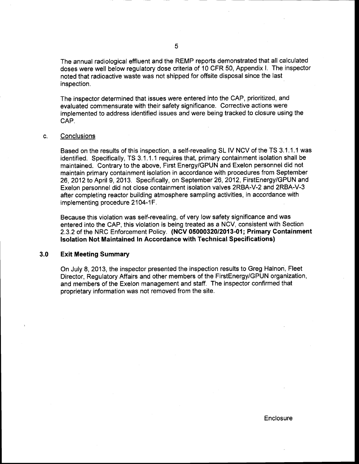The annual radiological effluent and the REMP reports demonstrated that all calculated doses were well below regulatory dose criteria of 10 CFR 50, Appendix l. The inspector noted that radioactive waste was not shipped for offsite disposal since the last inspection.

The inspector determined that issues were entered into the CAP, prioritized, and evaluated commensurate with their safety significance. Corrective actions were implemented to address identified issues and were being tracked to closure using the CAP.

#### c. **Conclusions**

Based on the results of this inspection, a self-revealing SL lV NCV of the TS 3.1.1.1 was identified. Specifically, TS 3.1.1.1 requires that, primary containment isolation shall be maintained. Contrary to the above, First Energy/GPUN and Exelon personnel did not maintain primary containment isolation in accordance with procedures from September 26,2012 to April 9,2013. Specifically, on September 26,2012, FirstEnergy/GPUN and Exelon personnel did not close containment isolation valves 2RBA-V-2 and 2RBA-V-3 after completing reactor building atmosphere sampling activities, in accordance with implementing procedure 2104-1F.

Because this violation was self-revealing, of very low safety significance and was entered into the CAP, this violation is being treated as a NCV, consistent with Section 2.3.2 of the NRC Enforcement Policy. (NCV 05000320/2013-01; Primary Gontainment lsolation Not Maintained In Accordance with Technical Specifications)

#### Exit Meeting Summary 3.0

On July 8,2Q13, the inspector presented the inspection results to Greg Halnon, Fleet Director, Regulatory Affairs and other members of the FirstEnergy/GPUN organization, and members of the Exelon management and staff. The inspector confirmed that proprietary information was not removed from the site.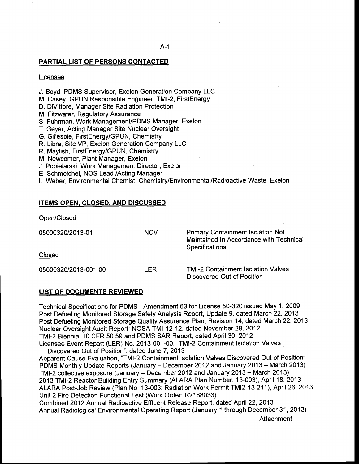## PARTIAL LIST OF PERSONS CONTACTED

### Licensee

- J. Boyd, PDMS Supervisor, Exelon Generation Company LLC
- M. Casey, GPUN Responsible Engineer, TMI-2, FirstEnergy
- D. DiVittore, Manager Site Radiation Protection
- M. Fitzwater, Regulatory Assurance
- S. Fuhrman, Work ManagemenVPDMS Manager, Exelon
- T. Geyer, Acting Manager Site Nuclear Oversight
- G. Gillespie, FirstEnergy/GPUN, Chemistry
- R. Libra, Site VP, Exelon Generation Company LLC
- R. Maylish, FirstEnergy/GPuN, Chemistry
- M. Newcomer, Plant Manager, Exelon
- J. Popielarski, Work Management Director, Exelon
- E. Schmeichel, NOS Lead /Acting Manager
- L. Weber, Environmental Chemist, Chemistry/Environmental/Radioactive Waste, Exelon

## ITEMS OPEN. CLOSED. AND DISCUSSED

Open/Closed

| 05000320/2013-01     | <b>NCV</b> | <b>Primary Containment Isolation Not</b><br>Maintained In Accordance with Technical<br><b>Specifications</b> |
|----------------------|------------|--------------------------------------------------------------------------------------------------------------|
| Closed               |            |                                                                                                              |
| 05000320/2013-001-00 | I FR       | <b>TMI-2 Containment Isolation Valves</b><br>Discovered Out of Position                                      |

### LIST OF DOCUMENTS REVIEWED

Technical Specifications for PDMS - Amendment 63 for License 50-320 issued May 1, 2009 Post Defueling Monitored Storage Safety Analysis Report, Update 9, dated March 22,2013 Post Defueling Monitored Storage Quality Assurance Plan, Revision 14, dated March 22,2013 Nuclear Oversight Audit Report: NOSA-TM!-12-12, dated November 29,2012 TMI-2 Biennial 10 CFR 50.59 and PDMS SAR Report, dated April 30, 2012 Licensee Event Report (LER) No. 2013-001-00, "TMl-2 Containment lsolation Valves

Discovered Out of Position", dated June 7,2013 Apparent Cause Evaluation, 'TMl-2 Containment lsolation Valves Discovered Out of Position" PDMS Monthly Update Reports (January - December 2012 and January 2013 - March 2013) TMI-2 collective exposure (January - December 2012 and January 2013 - March 2013) 2013 TMI-2 Reactor Building Entry Summary (ALARA Plan Number: 13-003), April 18, 2013 ALARA Post-Job Review (Plan No. 13-003; Radiation Work Permit TMl2-13-211), April 26,2013 Unit 2 Fire Detection Functional Test (Work Order: R2188033)

Combined 2012 Annual Radioactive Effluent Release Report, dated April22,2013 Annual Radiological Environmental Operating Report (January 1 through December 31,2012)

**Attachment**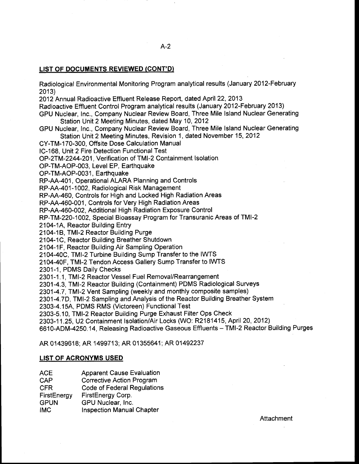## LIST OF DOCUMENTS REVIEWED (CONT'D)

Radiological Environmental Monitoring Program analytical results (January 2012-February 2013)

2012 Annual Radioactive Effluent Release Report, dated April22,2O13

Radioactive Effluent Control Program analytical results (January 2012-February 2013)

GPU Nuclear, Inc., Company Nuclear Review Board, Three Mile lsland Nuclear Generating Station Unit 2 Meeting Minutes, dated May 10,2012

GPU Nuclear, lnc., Company Nuclear Review Board, Three Mile lsland Nuclear Generating Station Unit 2 Meeting Minutes, Revision 1, dated November 15,2012

CY-TM-1 70-300, Offsite Dose Calculation Manual

lC-168, Unit 2 Fire Detection Functional Test

OP-2TM-2244-201, Verification of TMI-2 Containment Isolation

OP-TM-AOP-003, Level EP, Earthquake

OP-TM-AOP-0031, Earthquake

RP-AA-401, Operational ALARA Planning and Controls

RP-AA-4O1 -1002, Radiological Risk Management

RP-AA-460, Controls for High and Locked High Radiation Areas

RP-AA-460-001, Controls for Very High Radiation Areas

RP-AA-460-002, Additional High Radiation Exposure Control

RP-TM-220-1002, Special Bioassay Program for Transuranic Areas of TMI-2

2104-1A, Reactor Building Entry

2104-18, TMI-2 Reactor Building Purge

2104-1C, Reactor Building Breather Shutdown

2104-1F, Reactor Building Air Sampling Operation

2104-40C, TMI-2 Turbine Building Sump Transfer to the IWTS

2104-40F, TMI-2 Tendon Access Gallery Sump Transfer to IWTS

2301-1, PDMS Daily Checks

2301-1. 1, TMI-2 Reactor Vessel Fuel Removal/Rearrangement

2301-4.3, TMI-2 Reactor Building (Containment) PDMS Radiological Surveys

2301-4.7, TMI-2 Vent Sampling (weekly and monthly composite samples)

2301-4.7D, TMI-2 Sampling and Analysis of the Reactor Building Breather System

2303-4.15A, PDMS RMS (Victoreen) Functional Test

2303-5.10, TMI-2 Reactor Building Purge Exhaust Filter Ops Check

2303-11.25, U2 Containment Isolation/Air Locks (WO: R2181415, April 20, 2012)

6610-ADM-4250.14, Releasing Radioactive Gaseous Effluents - TMI-2 Reactor Building Purges

AR 01439618; AR 1499713; AR 01355641', ARO1492237

### LIST OF ACRONYMS USED

ACE Apparent Cause Evaluation

CAP Corrective Action Program

CFR Code of Federal Regulations

FirstEnergy FirstEnergy Corp.<br>GPUN GPU Nuclear, Inc.<br>IMC Inspection Manual Chapter

**Attachment**